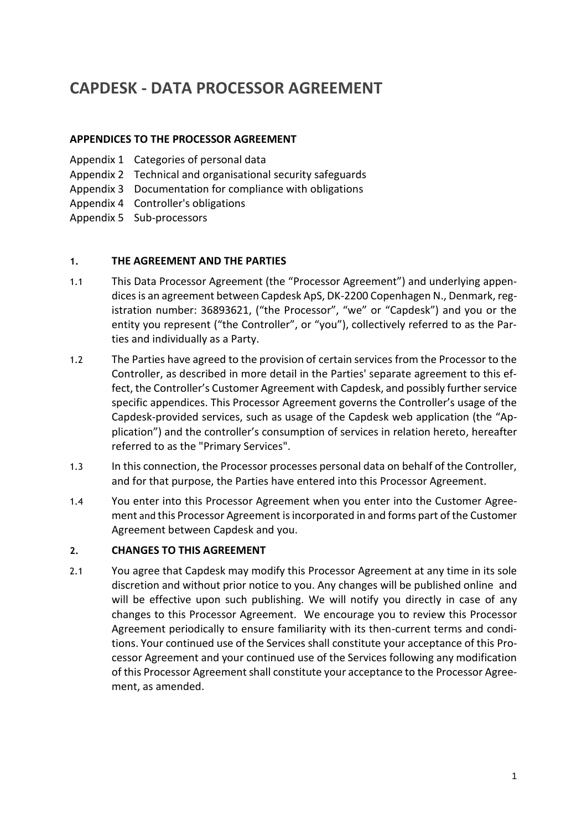## **CAPDESK - DATA PROCESSOR AGREEMENT**

### **APPENDICES TO THE PROCESSOR AGREEMENT**

- Appendix 1 Categories of personal data
- Appendix 2 Technical and organisational security safeguards
- Appendix 3 Documentation for compliance with obligations
- Appendix 4 Controller's obligations
- Appendix 5 Sub-processors

#### **1. THE AGREEMENT AND THE PARTIES**

- 1.1 This Data Processor Agreement (the "Processor Agreement") and underlying appendices is an agreement between Capdesk ApS, DK-2200 Copenhagen N., Denmark, registration number: 36893621, ("the Processor", "we" or "Capdesk") and you or the entity you represent ("the Controller", or "you"), collectively referred to as the Parties and individually as a Party.
- 1.2 The Parties have agreed to the provision of certain services from the Processor to the Controller, as described in more detail in the Parties' separate agreement to this effect, the Controller's Customer Agreement with Capdesk, and possibly further service specific appendices. This Processor Agreement governs the Controller's usage of the Capdesk-provided services, such as usage of the Capdesk web application (the "Application") and the controller's consumption of services in relation hereto, hereafter referred to as the "Primary Services".
- 1.3 In this connection, the Processor processes personal data on behalf of the Controller, and for that purpose, the Parties have entered into this Processor Agreement.
- 1.4 You enter into this Processor Agreement when you enter into the Customer Agreement and this Processor Agreement is incorporated in and forms part of the Customer Agreement between Capdesk and you.

#### **2. CHANGES TO THIS AGREEMENT**

2.1 You agree that Capdesk may modify this Processor Agreement at any time in its sole discretion and without prior notice to you. Any changes will be published online and will be effective upon such publishing. We will notify you directly in case of any changes to this Processor Agreement. We encourage you to review this Processor Agreement periodically to ensure familiarity with its then-current terms and conditions. Your continued use of the Services shall constitute your acceptance of this Processor Agreement and your continued use of the Services following any modification of this Processor Agreement shall constitute your acceptance to the Processor Agreement, as amended.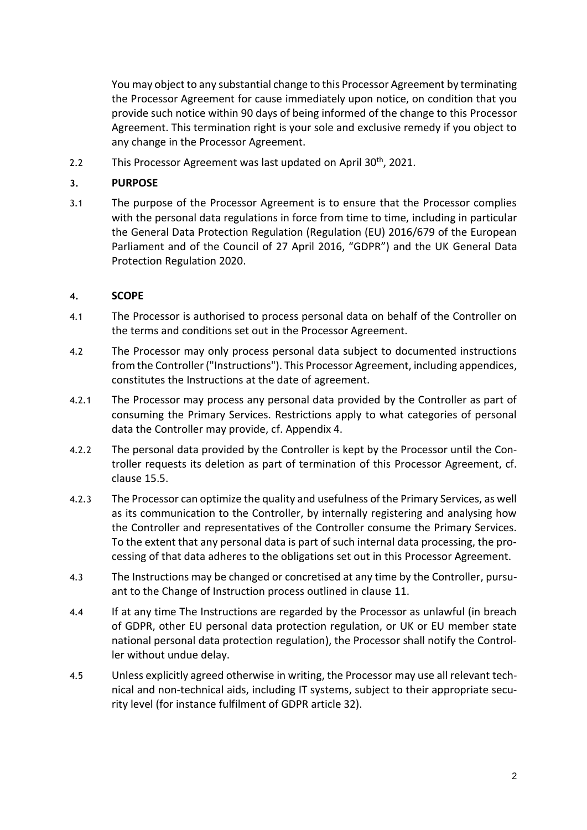You may object to any substantial change to this Processor Agreement by terminating the Processor Agreement for cause immediately upon notice, on condition that you provide such notice within 90 days of being informed of the change to this Processor Agreement. This termination right is your sole and exclusive remedy if you object to any change in the Processor Agreement.

2.2 This Processor Agreement was last updated on April 30<sup>th</sup>, 2021.

#### **3. PURPOSE**

3.1 The purpose of the Processor Agreement is to ensure that the Processor complies with the personal data regulations in force from time to time, including in particular the General Data Protection Regulation (Regulation (EU) 2016/679 of the European Parliament and of the Council of 27 April 2016, "GDPR") and the UK General Data Protection Regulation 2020.

#### **4. SCOPE**

- 4.1 The Processor is authorised to process personal data on behalf of the Controller on the terms and conditions set out in the Processor Agreement.
- 4.2 The Processor may only process personal data subject to documented instructions from the Controller ("Instructions"). This Processor Agreement, including appendices, constitutes the Instructions at the date of agreement.
- 4.2.1 The Processor may process any personal data provided by the Controller as part of consuming the Primary Services. Restrictions apply to what categories of personal data the Controller may provide, cf. Appendix 4.
- 4.2.2 The personal data provided by the Controller is kept by the Processor until the Controller requests its deletion as part of termination of this Processor Agreement, cf. clause [15.5.](#page-7-0)
- 4.2.3 The Processor can optimize the quality and usefulness of the Primary Services, as well as its communication to the Controller, by internally registering and analysing how the Controller and representatives of the Controller consume the Primary Services. To the extent that any personal data is part of such internal data processing, the processing of that data adheres to the obligations set out in this Processor Agreement.
- 4.3 The Instructions may be changed or concretised at any time by the Controller, pursuant to the Change of Instruction process outlined in clause [11.](#page-5-0)
- 4.4 If at any time The Instructions are regarded by the Processor as unlawful (in breach of GDPR, other EU personal data protection regulation, or UK or EU member state national personal data protection regulation), the Processor shall notify the Controller without undue delay.
- 4.5 Unless explicitly agreed otherwise in writing, the Processor may use all relevant technical and non-technical aids, including IT systems, subject to their appropriate security level (for instance fulfilment of GDPR article 32).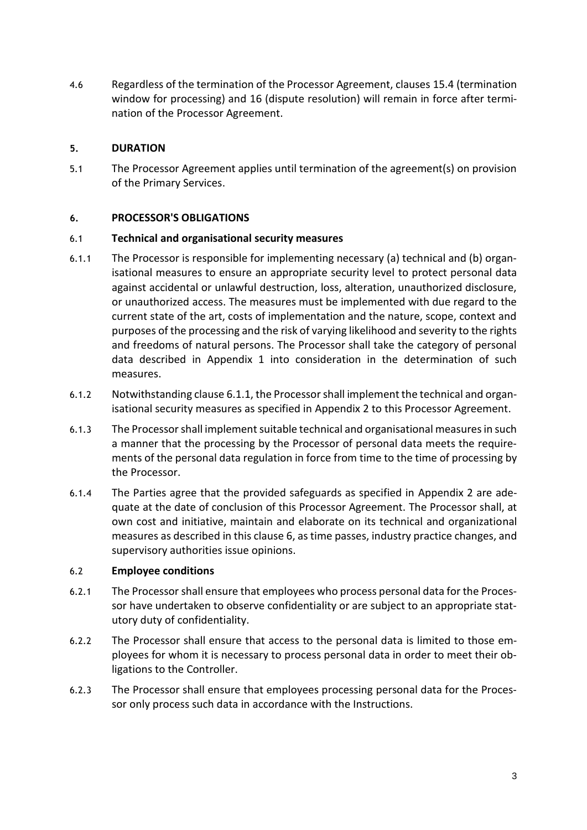4.6 Regardless of the termination of the Processor Agreement, clauses [15.4](#page-7-1) (termination window for processing) and [16](#page-7-2) (dispute resolution) will remain in force after termination of the Processor Agreement.

### **5. DURATION**

5.1 The Processor Agreement applies until termination of the agreement(s) on provision of the Primary Services.

### <span id="page-2-1"></span>**6. PROCESSOR'S OBLIGATIONS**

#### 6.1 **Technical and organisational security measures**

- <span id="page-2-0"></span>6.1.1 The Processor is responsible for implementing necessary (a) technical and (b) organisational measures to ensure an appropriate security level to protect personal data against accidental or unlawful destruction, loss, alteration, unauthorized disclosure, or unauthorized access. The measures must be implemented with due regard to the current state of the art, costs of implementation and the nature, scope, context and purposes of the processing and the risk of varying likelihood and severity to the rights and freedoms of natural persons. The Processor shall take the category of personal data described in Appendix 1 into consideration in the determination of such measures.
- 6.1.2 Notwithstanding clause [6.1.1,](#page-2-0) the Processor shall implement the technical and organisational security measures as specified in Appendix 2 to this Processor Agreement.
- 6.1.3 The Processor shall implement suitable technical and organisational measures in such a manner that the processing by the Processor of personal data meets the requirements of the personal data regulation in force from time to the time of processing by the Processor.
- 6.1.4 The Parties agree that the provided safeguards as specified in Appendix 2 are adequate at the date of conclusion of this Processor Agreement. The Processor shall, at own cost and initiative, maintain and elaborate on its technical and organizational measures as described in this claus[e 6,](#page-2-1) as time passes, industry practice changes, and supervisory authorities issue opinions.

#### 6.2 **Employee conditions**

- 6.2.1 The Processor shall ensure that employees who process personal data for the Processor have undertaken to observe confidentiality or are subject to an appropriate statutory duty of confidentiality.
- 6.2.2 The Processor shall ensure that access to the personal data is limited to those employees for whom it is necessary to process personal data in order to meet their obligations to the Controller.
- 6.2.3 The Processor shall ensure that employees processing personal data for the Processor only process such data in accordance with the Instructions.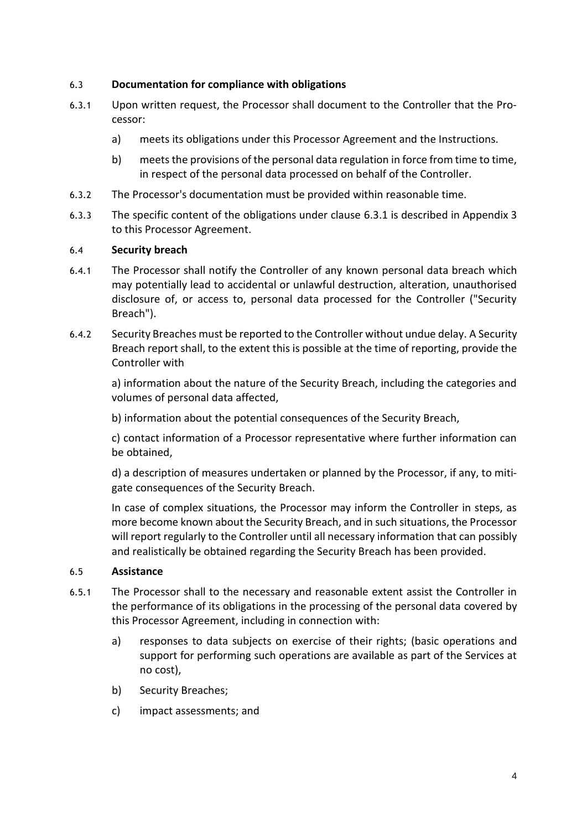## <span id="page-3-5"></span>6.3 **Documentation for compliance with obligations**

- <span id="page-3-0"></span>6.3.1 Upon written request, the Processor shall document to the Controller that the Processor:
	- a) meets its obligations under this Processor Agreement and the Instructions.
	- b) meets the provisions of the personal data regulation in force from time to time, in respect of the personal data processed on behalf of the Controller.
- 6.3.2 The Processor's documentation must be provided within reasonable time.
- 6.3.3 The specific content of the obligations under clause [6.3.1](#page-3-0) is described in Appendix 3 to this Processor Agreement.

### 6.4 **Security breach**

- 6.4.1 The Processor shall notify the Controller of any known personal data breach which may potentially lead to accidental or unlawful destruction, alteration, unauthorised disclosure of, or access to, personal data processed for the Controller ("Security Breach").
- 6.4.2 Security Breaches must be reported to the Controller without undue delay. A Security Breach report shall, to the extent this is possible at the time of reporting, provide the Controller with

a) information about the nature of the Security Breach, including the categories and volumes of personal data affected,

b) information about the potential consequences of the Security Breach,

c) contact information of a Processor representative where further information can be obtained,

d) a description of measures undertaken or planned by the Processor, if any, to mitigate consequences of the Security Breach.

In case of complex situations, the Processor may inform the Controller in steps, as more become known about the Security Breach, and in such situations, the Processor will report regularly to the Controller until all necessary information that can possibly and realistically be obtained regarding the Security Breach has been provided.

#### <span id="page-3-1"></span>6.5 **Assistance**

- <span id="page-3-4"></span><span id="page-3-3"></span><span id="page-3-2"></span>6.5.1 The Processor shall to the necessary and reasonable extent assist the Controller in the performance of its obligations in the processing of the personal data covered by this Processor Agreement, including in connection with:
	- a) responses to data subjects on exercise of their rights; (basic operations and support for performing such operations are available as part of the Services at no cost),
	- b) Security Breaches;
	- c) impact assessments; and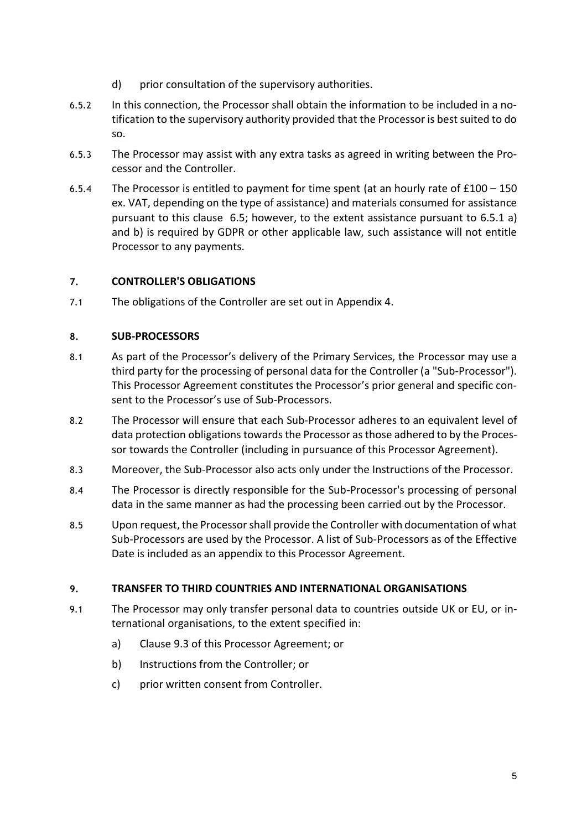- d) prior consultation of the supervisory authorities.
- 6.5.2 In this connection, the Processor shall obtain the information to be included in a notification to the supervisory authority provided that the Processor is best suited to do so.
- 6.5.3 The Processor may assist with any extra tasks as agreed in writing between the Processor and the Controller.
- 6.5.4 The Processor is entitled to payment for time spent (at an hourly rate of £100 150 ex. VAT, depending on the type of assistance) and materials consumed for assistance pursuant to this clause [6.5;](#page-3-1) however, to the extent assistance pursuant to [6.5.1](#page-3-2) [a\)](#page-3-3) and [b\)](#page-3-4) is required by GDPR or other applicable law, such assistance will not entitle Processor to any payments.

## **7. CONTROLLER'S OBLIGATIONS**

7.1 The obligations of the Controller are set out in Appendix 4.

## **8. SUB-PROCESSORS**

- 8.1 As part of the Processor's delivery of the Primary Services, the Processor may use a third party for the processing of personal data for the Controller (a "Sub-Processor"). This Processor Agreement constitutes the Processor's prior general and specific consent to the Processor's use of Sub-Processors.
- 8.2 The Processor will ensure that each Sub-Processor adheres to an equivalent level of data protection obligations towards the Processor as those adhered to by the Processor towards the Controller (including in pursuance of this Processor Agreement).
- 8.3 Moreover, the Sub-Processor also acts only under the Instructions of the Processor.
- 8.4 The Processor is directly responsible for the Sub-Processor's processing of personal data in the same manner as had the processing been carried out by the Processor.
- 8.5 Upon request, the Processor shall provide the Controller with documentation of what Sub-Processors are used by the Processor. A list of Sub-Processors as of the Effective Date is included as an appendix to this Processor Agreement.

## **9. TRANSFER TO THIRD COUNTRIES AND INTERNATIONAL ORGANISATIONS**

- 9.1 The Processor may only transfer personal data to countries outside UK or EU, or international organisations, to the extent specified in:
	- a) Clause [9.3](#page-5-1) of this Processor Agreement; or
	- b) Instructions from the Controller; or
	- c) prior written consent from Controller.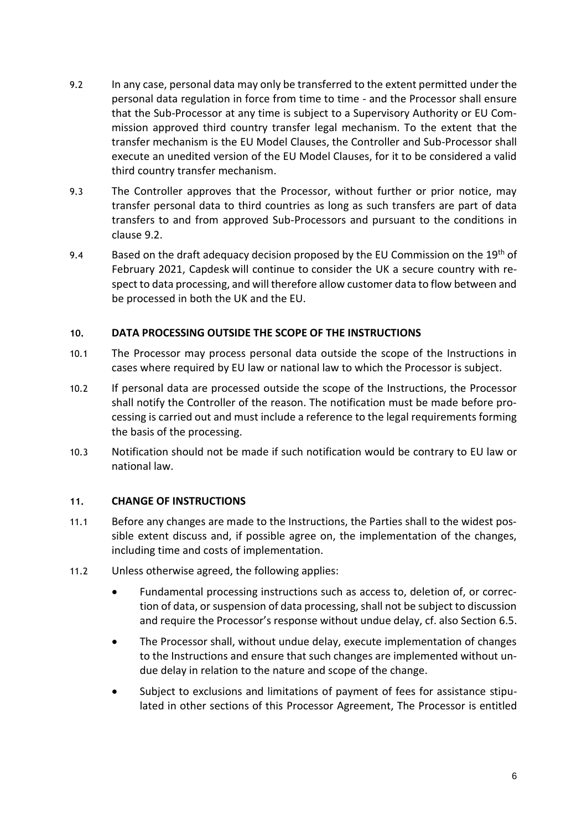- <span id="page-5-2"></span>9.2 In any case, personal data may only be transferred to the extent permitted under the personal data regulation in force from time to time - and the Processor shall ensure that the Sub-Processor at any time is subject to a Supervisory Authority or EU Commission approved third country transfer legal mechanism. To the extent that the transfer mechanism is the EU Model Clauses, the Controller and Sub-Processor shall execute an unedited version of the EU Model Clauses, for it to be considered a valid third country transfer mechanism.
- <span id="page-5-1"></span>9.3 The Controller approves that the Processor, without further or prior notice, may transfer personal data to third countries as long as such transfers are part of data transfers to and from approved Sub-Processors and pursuant to the conditions in clause [9.2.](#page-5-2)
- 9.4 Based on the draft adequacy decision proposed by the EU Commission on the  $19<sup>th</sup>$  of February 2021, Capdesk will continue to consider the UK a secure country with respect to data processing, and will therefore allow customer data to flow between and be processed in both the UK and the EU.

### **10. DATA PROCESSING OUTSIDE THE SCOPE OF THE INSTRUCTIONS**

- 10.1 The Processor may process personal data outside the scope of the Instructions in cases where required by EU law or national law to which the Processor is subject.
- 10.2 If personal data are processed outside the scope of the Instructions, the Processor shall notify the Controller of the reason. The notification must be made before processing is carried out and must include a reference to the legal requirements forming the basis of the processing.
- 10.3 Notification should not be made if such notification would be contrary to EU law or national law.

#### <span id="page-5-0"></span>**11. CHANGE OF INSTRUCTIONS**

- 11.1 Before any changes are made to the Instructions, the Parties shall to the widest possible extent discuss and, if possible agree on, the implementation of the changes, including time and costs of implementation.
- <span id="page-5-3"></span>11.2 Unless otherwise agreed, the following applies:
	- Fundamental processing instructions such as access to, deletion of, or correction of data, or suspension of data processing, shall not be subject to discussion and require the Processor's response without undue delay, cf. also Section [6.5.](#page-3-1)
	- The Processor shall, without undue delay, execute implementation of changes to the Instructions and ensure that such changes are implemented without undue delay in relation to the nature and scope of the change.
	- Subject to exclusions and limitations of payment of fees for assistance stipulated in other sections of this Processor Agreement, The Processor is entitled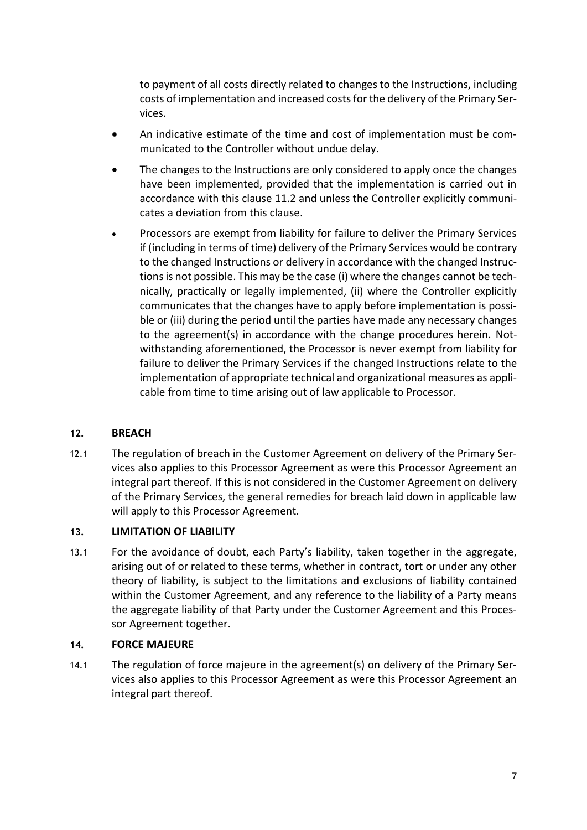to payment of all costs directly related to changes to the Instructions, including costs of implementation and increased costs for the delivery of the Primary Services.

- An indicative estimate of the time and cost of implementation must be communicated to the Controller without undue delay.
- The changes to the Instructions are only considered to apply once the changes have been implemented, provided that the implementation is carried out in accordance with this clause [11.2](#page-5-3) and unless the Controller explicitly communicates a deviation from this clause.
- Processors are exempt from liability for failure to deliver the Primary Services if (including in terms of time) delivery of the Primary Services would be contrary to the changed Instructions or delivery in accordance with the changed Instructions is not possible. This may be the case (i) where the changes cannot be technically, practically or legally implemented, (ii) where the Controller explicitly communicates that the changes have to apply before implementation is possible or (iii) during the period until the parties have made any necessary changes to the agreement(s) in accordance with the change procedures herein. Notwithstanding aforementioned, the Processor is never exempt from liability for failure to deliver the Primary Services if the changed Instructions relate to the implementation of appropriate technical and organizational measures as applicable from time to time arising out of law applicable to Processor.

## **12. BREACH**

12.1 The regulation of breach in the Customer Agreement on delivery of the Primary Services also applies to this Processor Agreement as were this Processor Agreement an integral part thereof. If this is not considered in the Customer Agreement on delivery of the Primary Services, the general remedies for breach laid down in applicable law will apply to this Processor Agreement.

#### **13. LIMITATION OF LIABILITY**

13.1 For the avoidance of doubt, each Party's liability, taken together in the aggregate, arising out of or related to these terms, whether in contract, tort or under any other theory of liability, is subject to the limitations and exclusions of liability contained within the Customer Agreement, and any reference to the liability of a Party means the aggregate liability of that Party under the Customer Agreement and this Processor Agreement together.

#### **14. FORCE MAJEURE**

14.1 The regulation of force majeure in the agreement(s) on delivery of the Primary Services also applies to this Processor Agreement as were this Processor Agreement an integral part thereof.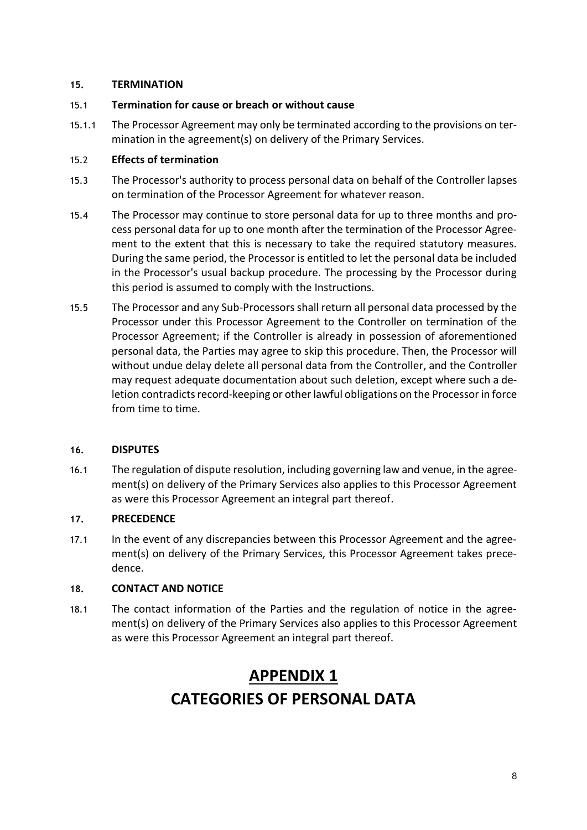### **15. TERMINATION**

### 15.1 **Termination for cause or breach or without cause**

15.1.1 The Processor Agreement may only be terminated according to the provisions on termination in the agreement(s) on delivery of the Primary Services.

## 15.2 **Effects of termination**

- 15.3 The Processor's authority to process personal data on behalf of the Controller lapses on termination of the Processor Agreement for whatever reason.
- <span id="page-7-1"></span>15.4 The Processor may continue to store personal data for up to three months and process personal data for up to one month after the termination of the Processor Agreement to the extent that this is necessary to take the required statutory measures. During the same period, the Processor is entitled to let the personal data be included in the Processor's usual backup procedure. The processing by the Processor during this period is assumed to comply with the Instructions.
- <span id="page-7-0"></span>15.5 The Processor and any Sub-Processors shall return all personal data processed by the Processor under this Processor Agreement to the Controller on termination of the Processor Agreement; if the Controller is already in possession of aforementioned personal data, the Parties may agree to skip this procedure. Then, the Processor will without undue delay delete all personal data from the Controller, and the Controller may request adequate documentation about such deletion, except where such a deletion contradicts record-keeping or other lawful obligations on the Processor in force from time to time.

## <span id="page-7-2"></span>**16. DISPUTES**

16.1 The regulation of dispute resolution, including governing law and venue, in the agreement(s) on delivery of the Primary Services also applies to this Processor Agreement as were this Processor Agreement an integral part thereof.

## **17. PRECEDENCE**

17.1 In the event of any discrepancies between this Processor Agreement and the agreement(s) on delivery of the Primary Services, this Processor Agreement takes precedence.

## **18. CONTACT AND NOTICE**

18.1 The contact information of the Parties and the regulation of notice in the agreement(s) on delivery of the Primary Services also applies to this Processor Agreement as were this Processor Agreement an integral part thereof.

# **APPENDIX 1 CATEGORIES OF PERSONAL DATA**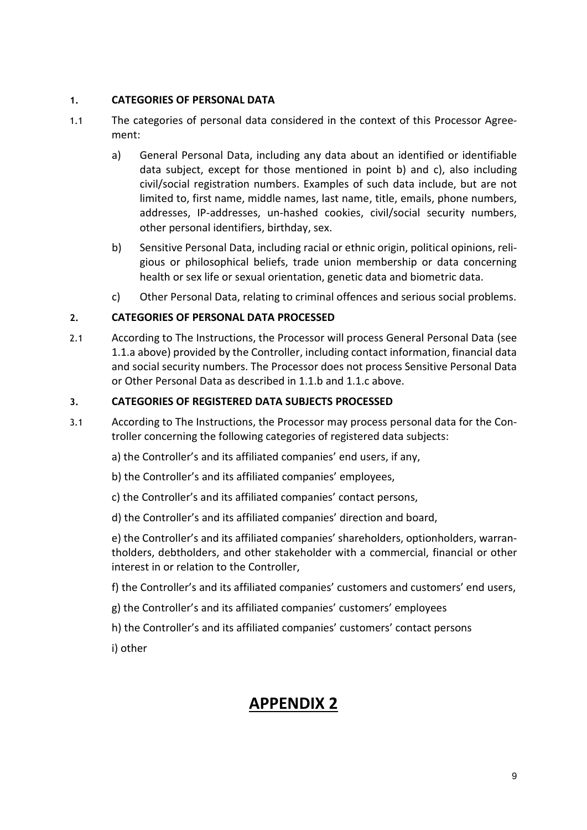## **1. CATEGORIES OF PERSONAL DATA**

- 1.1 The categories of personal data considered in the context of this Processor Agreement:
	- a) General Personal Data, including any data about an identified or identifiable data subject, except for those mentioned in point b) and c), also including civil/social registration numbers. Examples of such data include, but are not limited to, first name, middle names, last name, title, emails, phone numbers, addresses, IP-addresses, un-hashed cookies, civil/social security numbers, other personal identifiers, birthday, sex.
	- b) Sensitive Personal Data, including racial or ethnic origin, political opinions, religious or philosophical beliefs, trade union membership or data concerning health or sex life or sexual orientation, genetic data and biometric data.
	- c) Other Personal Data, relating to criminal offences and serious social problems.

## **2. CATEGORIES OF PERSONAL DATA PROCESSED**

2.1 According to The Instructions, the Processor will process General Personal Data (see 1.1.a above) provided by the Controller, including contact information, financial data and social security numbers. The Processor does not process Sensitive Personal Data or Other Personal Data as described in 1.1.b and 1.1.c above.

#### **3. CATEGORIES OF REGISTERED DATA SUBJECTS PROCESSED**

- 3.1 According to The Instructions, the Processor may process personal data for the Controller concerning the following categories of registered data subjects:
	- a) the Controller's and its affiliated companies' end users, if any,
	- b) the Controller's and its affiliated companies' employees,
	- c) the Controller's and its affiliated companies' contact persons,
	- d) the Controller's and its affiliated companies' direction and board,

e) the Controller's and its affiliated companies' shareholders, optionholders, warrantholders, debtholders, and other stakeholder with a commercial, financial or other interest in or relation to the Controller,

- f) the Controller's and its affiliated companies' customers and customers' end users,
- g) the Controller's and its affiliated companies' customers' employees
- h) the Controller's and its affiliated companies' customers' contact persons

i) other

## **APPENDIX 2**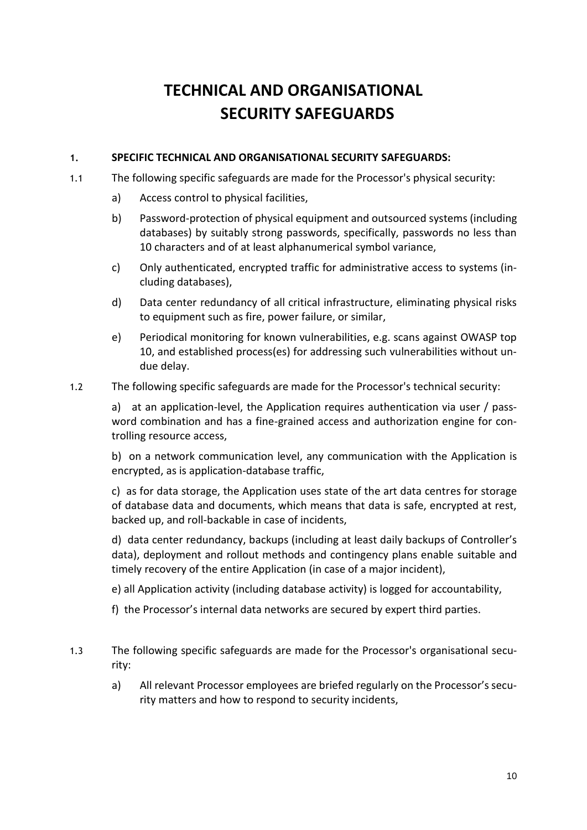# **TECHNICAL AND ORGANISATIONAL SECURITY SAFEGUARDS**

### **1. SPECIFIC TECHNICAL AND ORGANISATIONAL SECURITY SAFEGUARDS:**

- 1.1 The following specific safeguards are made for the Processor's physical security:
	- a) Access control to physical facilities,
	- b) Password-protection of physical equipment and outsourced systems (including databases) by suitably strong passwords, specifically, passwords no less than 10 characters and of at least alphanumerical symbol variance,
	- c) Only authenticated, encrypted traffic for administrative access to systems (including databases),
	- d) Data center redundancy of all critical infrastructure, eliminating physical risks to equipment such as fire, power failure, or similar,
	- e) Periodical monitoring for known vulnerabilities, e.g. scans against OWASP top 10, and established process(es) for addressing such vulnerabilities without undue delay.
- 1.2 The following specific safeguards are made for the Processor's technical security:

a) at an application-level, the Application requires authentication via user / password combination and has a fine-grained access and authorization engine for controlling resource access,

b) on a network communication level, any communication with the Application is encrypted, as is application-database traffic,

c) as for data storage, the Application uses state of the art data centres for storage of database data and documents, which means that data is safe, encrypted at rest, backed up, and roll-backable in case of incidents,

d) data center redundancy, backups (including at least daily backups of Controller's data), deployment and rollout methods and contingency plans enable suitable and timely recovery of the entire Application (in case of a major incident),

- e) all Application activity (including database activity) is logged for accountability,
- f) the Processor's internal data networks are secured by expert third parties.
- 1.3 The following specific safeguards are made for the Processor's organisational security:
	- a) All relevant Processor employees are briefed regularly on the Processor's security matters and how to respond to security incidents,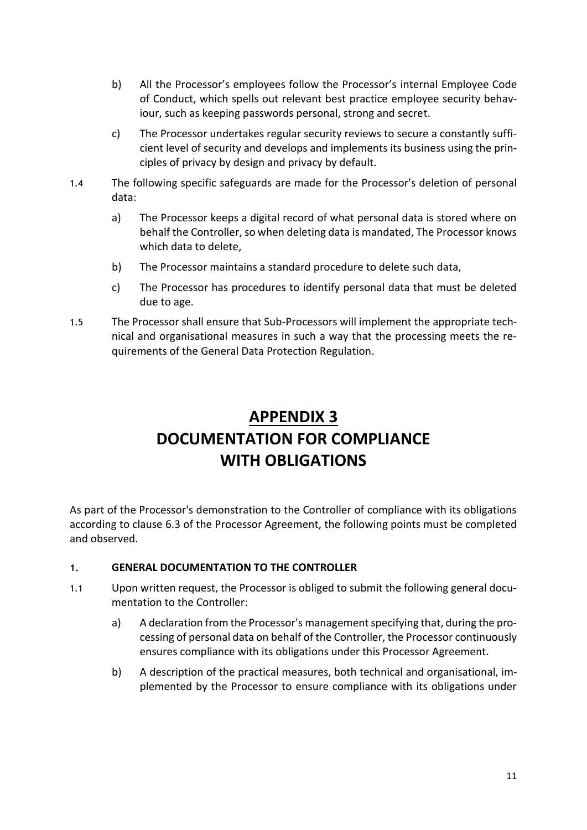- b) All the Processor's employees follow the Processor's internal Employee Code of Conduct, which spells out relevant best practice employee security behaviour, such as keeping passwords personal, strong and secret.
- c) The Processor undertakes regular security reviews to secure a constantly sufficient level of security and develops and implements its business using the principles of privacy by design and privacy by default.
- 1.4 The following specific safeguards are made for the Processor's deletion of personal data:
	- a) The Processor keeps a digital record of what personal data is stored where on behalf the Controller, so when deleting data is mandated, The Processor knows which data to delete,
	- b) The Processor maintains a standard procedure to delete such data,
	- c) The Processor has procedures to identify personal data that must be deleted due to age.
- 1.5 The Processor shall ensure that Sub-Processors will implement the appropriate technical and organisational measures in such a way that the processing meets the requirements of the General Data Protection Regulation.

# **APPENDIX 3 DOCUMENTATION FOR COMPLIANCE WITH OBLIGATIONS**

As part of the Processor's demonstration to the Controller of compliance with its obligations according to clause [6.3](#page-3-5) of the Processor Agreement, the following points must be completed and observed.

## **1. GENERAL DOCUMENTATION TO THE CONTROLLER**

- 1.1 Upon written request, the Processor is obliged to submit the following general documentation to the Controller:
	- a) A declaration from the Processor's management specifying that, during the processing of personal data on behalf of the Controller, the Processor continuously ensures compliance with its obligations under this Processor Agreement.
	- b) A description of the practical measures, both technical and organisational, implemented by the Processor to ensure compliance with its obligations under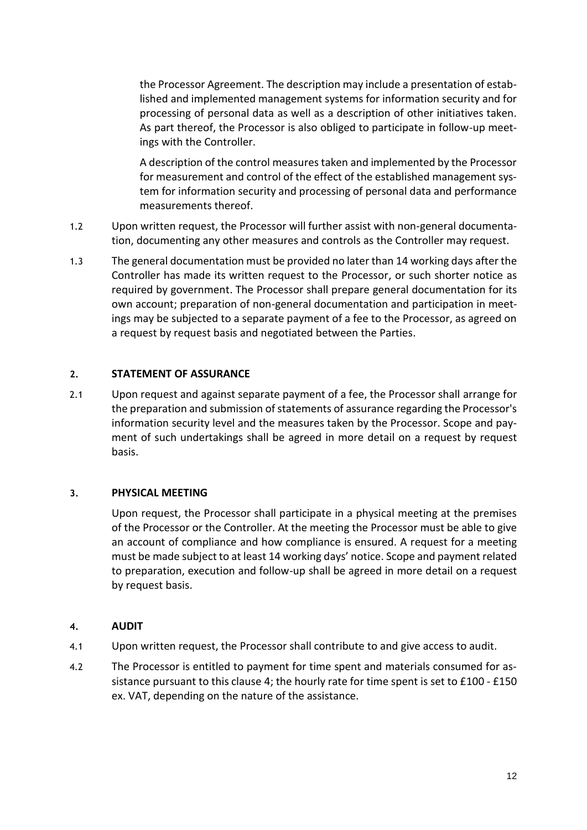the Processor Agreement. The description may include a presentation of established and implemented management systems for information security and for processing of personal data as well as a description of other initiatives taken. As part thereof, the Processor is also obliged to participate in follow-up meetings with the Controller.

A description of the control measures taken and implemented by the Processor for measurement and control of the effect of the established management system for information security and processing of personal data and performance measurements thereof.

- 1.2 Upon written request, the Processor will further assist with non-general documentation, documenting any other measures and controls as the Controller may request.
- 1.3 The general documentation must be provided no later than 14 working days after the Controller has made its written request to the Processor, or such shorter notice as required by government. The Processor shall prepare general documentation for its own account; preparation of non-general documentation and participation in meetings may be subjected to a separate payment of a fee to the Processor, as agreed on a request by request basis and negotiated between the Parties.

#### **2. STATEMENT OF ASSURANCE**

2.1 Upon request and against separate payment of a fee, the Processor shall arrange for the preparation and submission of statements of assurance regarding the Processor's information security level and the measures taken by the Processor. Scope and payment of such undertakings shall be agreed in more detail on a request by request basis.

#### **3. PHYSICAL MEETING**

Upon request, the Processor shall participate in a physical meeting at the premises of the Processor or the Controller. At the meeting the Processor must be able to give an account of compliance and how compliance is ensured. A request for a meeting must be made subject to at least 14 working days' notice. Scope and payment related to preparation, execution and follow-up shall be agreed in more detail on a request by request basis.

#### <span id="page-11-0"></span>**4. AUDIT**

- 4.1 Upon written request, the Processor shall contribute to and give access to audit.
- 4.2 The Processor is entitled to payment for time spent and materials consumed for assistance pursuant to this clause [4;](#page-11-0) the hourly rate for time spent is set to £100 - £150 ex. VAT, depending on the nature of the assistance.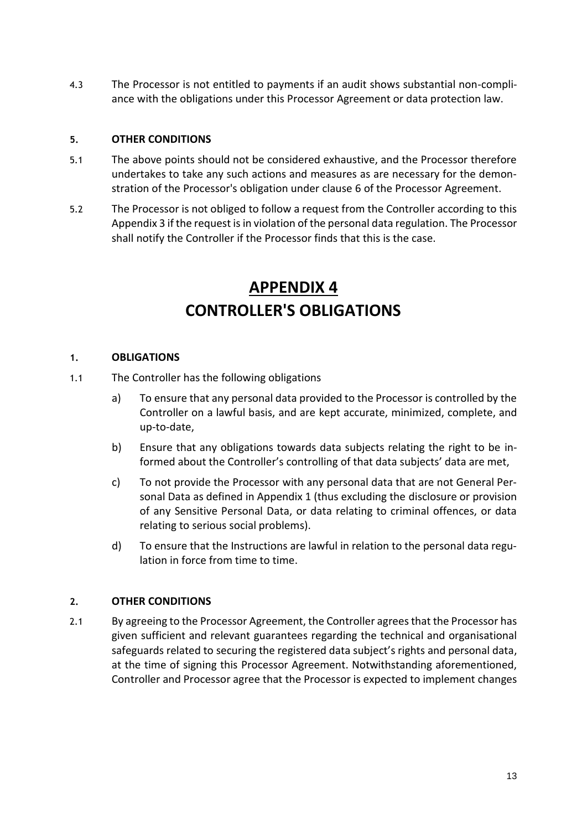4.3 The Processor is not entitled to payments if an audit shows substantial non-compliance with the obligations under this Processor Agreement or data protection law.

## **5. OTHER CONDITIONS**

- 5.1 The above points should not be considered exhaustive, and the Processor therefore undertakes to take any such actions and measures as are necessary for the demonstration of the Processor's obligation under clause [6](#page-2-1) of the Processor Agreement.
- 5.2 The Processor is not obliged to follow a request from the Controller according to this Appendix 3 if the request is in violation of the personal data regulation. The Processor shall notify the Controller if the Processor finds that this is the case.

# **APPENDIX 4 CONTROLLER'S OBLIGATIONS**

#### **1. OBLIGATIONS**

- 1.1 The Controller has the following obligations
	- a) To ensure that any personal data provided to the Processor is controlled by the Controller on a lawful basis, and are kept accurate, minimized, complete, and up-to-date,
	- b) Ensure that any obligations towards data subjects relating the right to be informed about the Controller's controlling of that data subjects' data are met,
	- c) To not provide the Processor with any personal data that are not General Personal Data as defined in Appendix 1 (thus excluding the disclosure or provision of any Sensitive Personal Data, or data relating to criminal offences, or data relating to serious social problems).
	- d) To ensure that the Instructions are lawful in relation to the personal data regulation in force from time to time.

#### **2. OTHER CONDITIONS**

2.1 By agreeing to the Processor Agreement, the Controller agrees that the Processor has given sufficient and relevant guarantees regarding the technical and organisational safeguards related to securing the registered data subject's rights and personal data, at the time of signing this Processor Agreement. Notwithstanding aforementioned, Controller and Processor agree that the Processor is expected to implement changes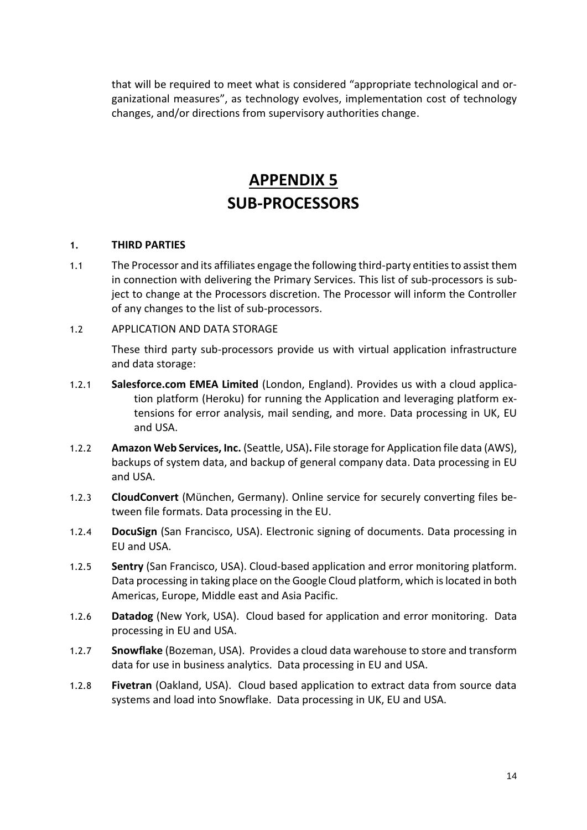that will be required to meet what is considered "appropriate technological and organizational measures", as technology evolves, implementation cost of technology changes, and/or directions from supervisory authorities change.

## **APPENDIX 5 SUB-PROCESSORS**

#### **1. THIRD PARTIES**

- 1.1 The Processor and its affiliates engage the following third-party entities to assist them in connection with delivering the Primary Services. This list of sub-processors is subject to change at the Processors discretion. The Processor will inform the Controller of any changes to the list of sub-processors.
- 1.2 APPLICATION AND DATA STORAGE

These third party sub-processors provide us with virtual application infrastructure and data storage:

- 1.2.1 **Salesforce.com EMEA Limited** (London, England). Provides us with a cloud application platform (Heroku) for running the Application and leveraging platform extensions for error analysis, mail sending, and more. Data processing in UK, EU and USA.
- 1.2.2 **Amazon Web Services, Inc.** (Seattle, USA)**.** File storage for Application file data (AWS), backups of system data, and backup of general company data. Data processing in EU and USA.
- 1.2.3 **CloudConvert** (München, Germany). Online service for securely converting files between file formats. Data processing in the EU.
- 1.2.4 **DocuSign** (San Francisco, USA). Electronic signing of documents. Data processing in EU and USA.
- 1.2.5 **Sentry** (San Francisco, USA). Cloud-based application and error monitoring platform. Data processing in taking place on the Google Cloud platform, which is located in both Americas, Europe, Middle east and Asia Pacific.
- 1.2.6 **Datadog** (New York, USA).Cloud based for application and error monitoring. Data processing in EU and USA.
- 1.2.7 **Snowflake** (Bozeman, USA). Provides a cloud data warehouse to store and transform data for use in business analytics. Data processing in EU and USA.
- 1.2.8 **Fivetran** (Oakland, USA). Cloud based application to extract data from source data systems and load into Snowflake. Data processing in UK, EU and USA.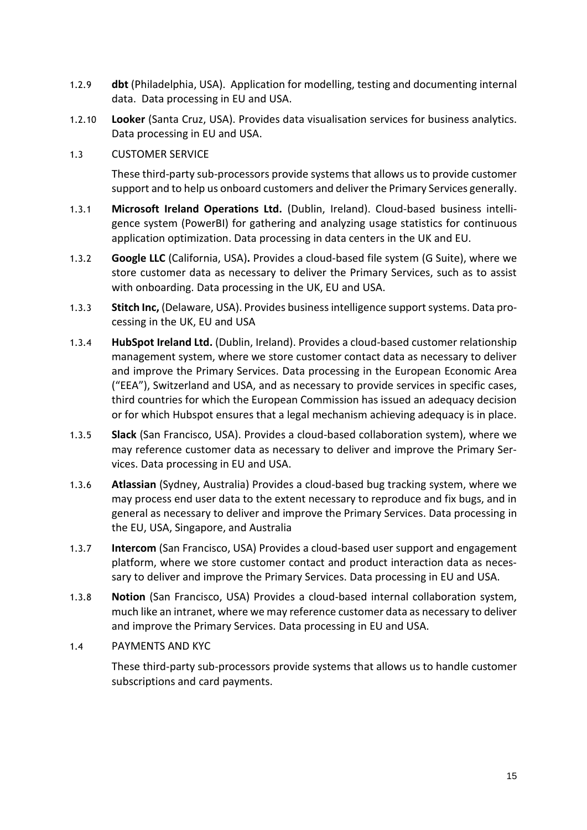- 1.2.9 **dbt** (Philadelphia, USA). Application for modelling, testing and documenting internal data. Data processing in EU and USA.
- 1.2.10 **Looker** (Santa Cruz, USA). Provides data visualisation services for business analytics. Data processing in EU and USA.
- 1.3 CUSTOMER SERVICE

These third-party sub-processors provide systems that allows us to provide customer support and to help us onboard customers and deliver the Primary Services generally.

- 1.3.1 **Microsoft Ireland Operations Ltd.** (Dublin, Ireland). Cloud-based business intelligence system (PowerBI) for gathering and analyzing usage statistics for continuous application optimization. Data processing in data centers in the UK and EU.
- 1.3.2 **Google LLC** (California, USA)**.** Provides a cloud-based file system (G Suite), where we store customer data as necessary to deliver the Primary Services, such as to assist with onboarding. Data processing in the UK, EU and USA.
- 1.3.3 **Stitch Inc,** (Delaware, USA). Provides business intelligence support systems. Data processing in the UK, EU and USA
- 1.3.4 **HubSpot Ireland Ltd.** (Dublin, Ireland). Provides a cloud-based customer relationship management system, where we store customer contact data as necessary to deliver and improve the Primary Services. Data processing in the European Economic Area ("EEA"), Switzerland and USA, and as necessary to provide services in specific cases, third countries for which the European Commission has issued an adequacy decision or for which Hubspot ensures that a legal mechanism achieving adequacy is in place.
- 1.3.5 **Slack** (San Francisco, USA). Provides a cloud-based collaboration system), where we may reference customer data as necessary to deliver and improve the Primary Services. Data processing in EU and USA.
- 1.3.6 **Atlassian** (Sydney, Australia) Provides a cloud-based bug tracking system, where we may process end user data to the extent necessary to reproduce and fix bugs, and in general as necessary to deliver and improve the Primary Services. Data processing in the EU, USA, Singapore, and Australia
- 1.3.7 **Intercom** (San Francisco, USA) Provides a cloud-based user support and engagement platform, where we store customer contact and product interaction data as necessary to deliver and improve the Primary Services. Data processing in EU and USA.
- 1.3.8 **Notion** (San Francisco, USA) Provides a cloud-based internal collaboration system, much like an intranet, where we may reference customer data as necessary to deliver and improve the Primary Services. Data processing in EU and USA.
- 1.4 PAYMENTS AND KYC

These third-party sub-processors provide systems that allows us to handle customer subscriptions and card payments.